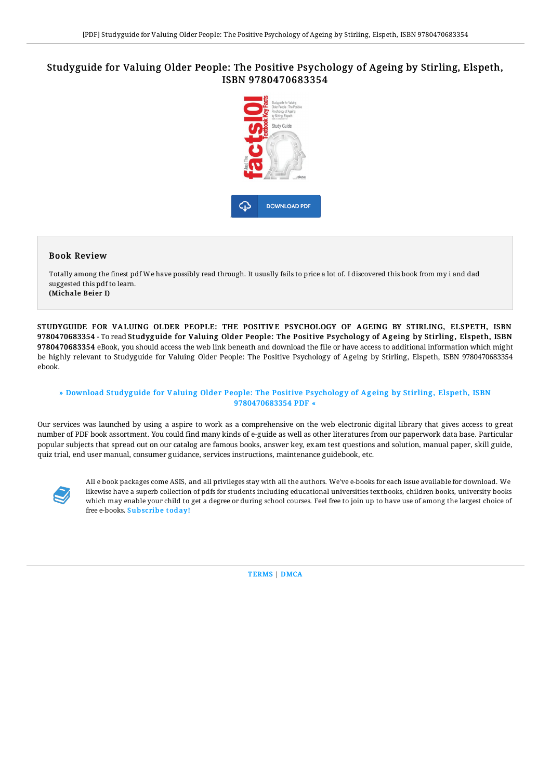# Studyguide for Valuing Older People: The Positive Psychology of Ageing by Stirling, Elspeth, ISBN 9780470683354



#### Book Review

Totally among the finest pdf We have possibly read through. It usually fails to price a lot of. I discovered this book from my i and dad suggested this pdf to learn. (Michale Beier I)

STUDYGUIDE FOR VALUING OLDER PEOPLE: THE POSITIVE PSYCHOLOGY OF AGEING BY STIRLING, ELSPETH, ISBN 9780470683354 - To read Studyguide for Valuing Older People: The Positive Psychology of Ageing by Stirling, Elspeth, ISBN 9780470683354 eBook, you should access the web link beneath and download the file or have access to additional information which might be highly relevant to Studyguide for Valuing Older People: The Positive Psychology of Ageing by Stirling, Elspeth, ISBN 9780470683354 ebook.

### » Download Studyguide for Valuing Older People: The Positive Psychology of Ageing by Stirling, Elspeth, ISBN [9780470683354](http://www.bookdirs.com/studyguide-for-valuing-older-people-the-positive.html) PDF «

Our services was launched by using a aspire to work as a comprehensive on the web electronic digital library that gives access to great number of PDF book assortment. You could find many kinds of e-guide as well as other literatures from our paperwork data base. Particular popular subjects that spread out on our catalog are famous books, answer key, exam test questions and solution, manual paper, skill guide, quiz trial, end user manual, consumer guidance, services instructions, maintenance guidebook, etc.



All e book packages come ASIS, and all privileges stay with all the authors. We've e-books for each issue available for download. We likewise have a superb collection of pdfs for students including educational universities textbooks, children books, university books which may enable your child to get a degree or during school courses. Feel free to join up to have use of among the largest choice of free e-books. [Subscribe](http://www.bookdirs.com/studyguide-for-valuing-older-people-the-positive.html) today!